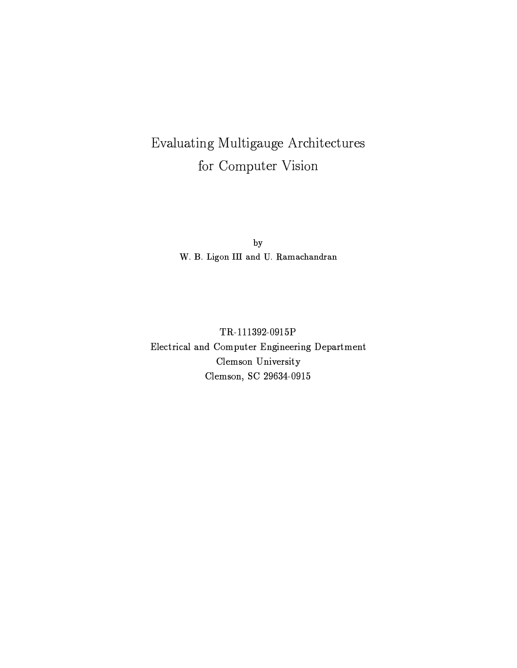# Evaluating Multigauge Architectures for Computer Vision

 $by$ W. B. Ligon III and U. Ramachandran

TR-111392-0915P Electrical and Computer Engineering Department Clemson University Clemson, SC 29634-0915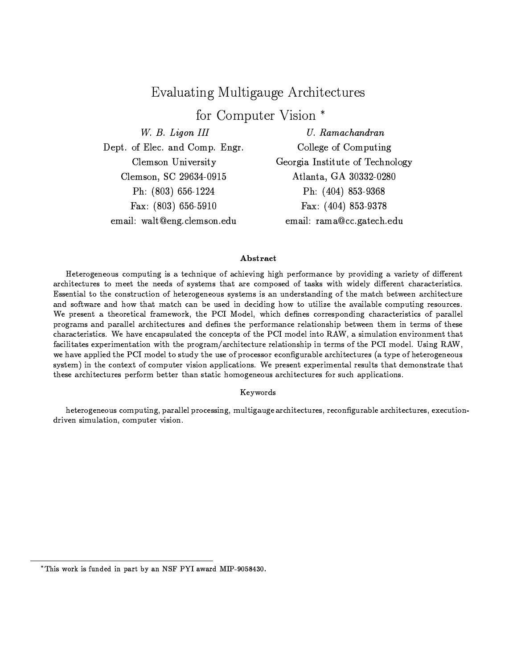## Evaluating Multigauge Architectures

for Computer Vision \*

W. B. Ligon III

Dept. of Elec. and Comp. Engr. Clemson University Clemson, SC 29634-0915 Ph:  $(803)$  656-1224 Fax:  $(803) 656-5910$ email: walt@eng.clemson.edu

 $U.$  Ramachandran College of Computing Georgia Institute of Technology Atlanta, GA 30332-0280 Ph: (404) 853-9368 Fax: (404) 853-9378 email: rama@cc.gatech.edu

### Abstract

Heterogeneous computing is a technique of achieving high performance by providing a variety of different architectures to meet the needs of systems that are composed of tasks with widely different characteristics. Essential to the construction of heterogeneous systems is an understanding of the match between architecture and software and how that match can be used in deciding how to utilize the available computing resources. We present a theoretical framework, the PCI Model, which defines corresponding characteristics of parallel programs and parallel architectures and defines the performance relationship between them in terms of these characteristics. We have encapsulated the concepts of the PCI model into RAW, a simulation environment that facilitates experimentation with the program/architecture relationship in terms of the PCI model. Using RAW, we have applied the PCI model to study the use of processor econfigurable architectures (a type of heterogeneous system) in the context of computer vision applications. We present experimental results that demonstrate that these architectures perform better than static homogeneous architectures for such applications.

### Keywords

heterogeneous computing, parallel processing, multigauge architectures, reconfigurable architectures, executiondriven simulation, computer vision.

<sup>\*</sup>This work is funded in part by an NSF PYI award MIP-9058430.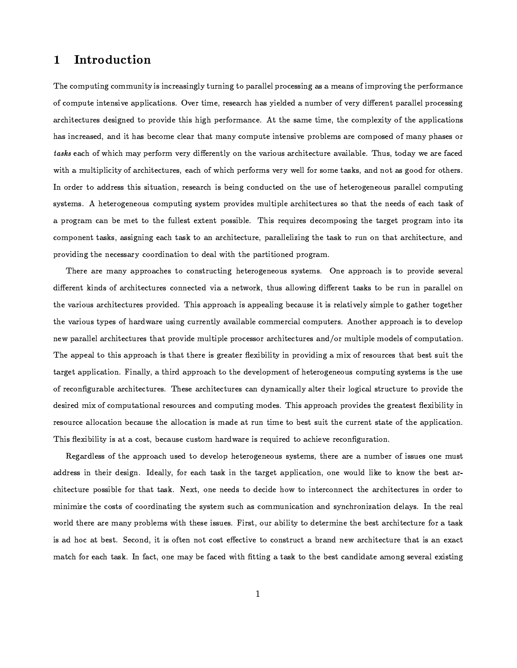#### Introduction  $\mathbf{1}$

The computing community is increasingly turning to parallel processing as a means of improving the performance of compute intensive applications. Over time, research has yielded a number of very different parallel processing architectures designed to provide this high performance. At the same time, the complexity of the applications has increased, and it has become clear that many compute intensive problems are composed of many phases or tasks each of which may perform very differently on the various architecture available. Thus, today we are faced with a multiplicity of architectures, each of which performs very well for some tasks, and not as good for others. In order to address this situation, research is being conducted on the use of heterogeneous parallel computing systems. A heterogeneous computing system provides multiple architectures so that the needs of each task of a program can be met to the fullest extent possible. This requires decomposing the target program into its component tasks, assigning each task to an architecture, parallelizing the task to run on that architecture, and providing the necessary coordination to deal with the partitioned program.

There are many approaches to constructing heterogeneous systems. One approach is to provide several different kinds of architectures connected via a network, thus allowing different tasks to be run in parallel on the various architectures provided. This approach is appealing because it is relatively simple to gather together the various types of hardware using currently available commercial computers. Another approach is to develop new parallel architectures that provide multiple processor architectures and/or multiple models of computation. The appeal to this approach is that there is greater flexibility in providing a mix of resources that best suit the target application. Finally, a third approach to the development of heterogeneous computing systems is the use of reconfigurable architectures. These architectures can dynamically alter their logical structure to provide the desired mix of computational resources and computing modes. This approach provides the greatest flexibility in resource allocation because the allocation is made at run time to best suit the current state of the application. This flexibility is at a cost, because custom hardware is required to achieve reconfiguration.

Regardless of the approach used to develop heterogeneous systems, there are a number of issues one must address in their design. Ideally, for each task in the target application, one would like to know the best architecture possible for that task. Next, one needs to decide how to interconnect the architectures in order to minimize the costs of coordinating the system such as communication and synchronization delays. In the real world there are many problems with these issues. First, our ability to determine the best architecture for a task is ad hoc at best. Second, it is often not cost effective to construct a brand new architecture that is an exact match for each task. In fact, one may be faced with fitting a task to the best candidate among several existing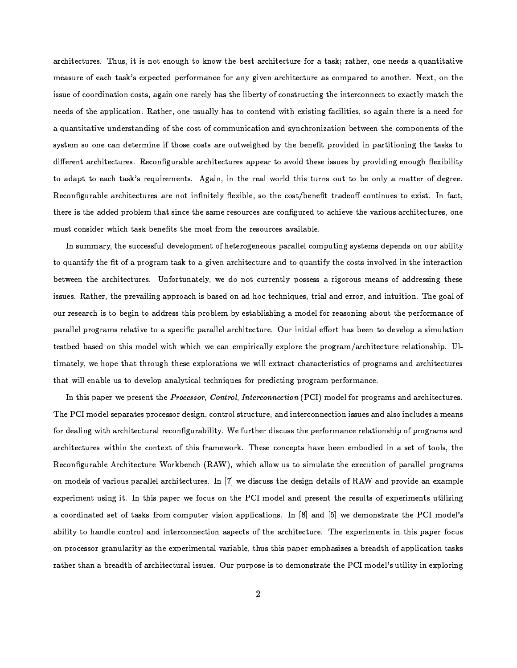architectures. Thus, it is not enough to know the best architecture for a task; rather, one needs a quantitative measure of each task's expected performance for any given architecture as compared to another. Next, on the issue of coordination costs, again one rarely has the liberty of constructing the interconnect to exactly match the needs of the application. Rather, one usually has to contend with existing facilities, so again there is a need for a quantitative understanding of the cost of communication and synchronization between the components of the system so one can determine if those costs are outweighed by the benefit provided in partitioning the tasks to different architectures. Reconfigurable architectures appear to avoid these issues by providing enough flexibility to adapt to each task's requirements. Again, in the real world this turns out to be only a matter of degree. Reconfigurable architectures are not infinitely flexible, so the cost/benefit tradeoff continues to exist. In fact, there is the added problem that since the same resources are configured to achieve the various architectures, one must consider which task benefits the most from the resources available.

In summary, the successful development of heterogeneous parallel computing systems depends on our ability to quantify the fit of a program task to a given architecture and to quantify the costs involved in the interaction between the architectures. Unfortunately, we do not currently possess a rigorous means of addressing these issues. Rather, the prevailing approach is based on ad hoc techniques, trial and error, and intuition. The goal of our research is to begin to address this problem by establishing a model for reasoning about the performance of parallel programs relative to a specific parallel architecture. Our initial effort has been to develop a simulation testbed based on this model with which we can empirically explore the program/architecture relationship. Ultimately, we hope that through these explorations we will extract characteristics of programs and architectures that will enable us to develop analytical techniques for predicting program performance.

In this paper we present the Processor, Control, Interconnection (PCI) model for programs and architectures. The PCI model separates processor design, control structure, and interconnection issues and also includes a means for dealing with architectural reconfigurability. We further discuss the performance relationship of programs and architectures within the context of this framework. These concepts have been embodied in a set of tools, the Reconfigurable Architecture Workbench (RAW), which allow us to simulate the execution of parallel programs on models of various parallel architectures. In [7] we discuss the design details of RAW and provide an example experiment using it. In this paper we focus on the PCI model and present the results of experiments utilizing a coordinated set of tasks from computer vision applications. In [8] and [5] we demonstrate the PCI model's ability to handle control and interconnection aspects of the architecture. The experiments in this paper focus on processor granularity as the experimental variable, thus this paper emphasizes a breadth of application tasks rather than a breadth of architectural issues. Our purpose is to demonstrate the PCI model's utility in exploring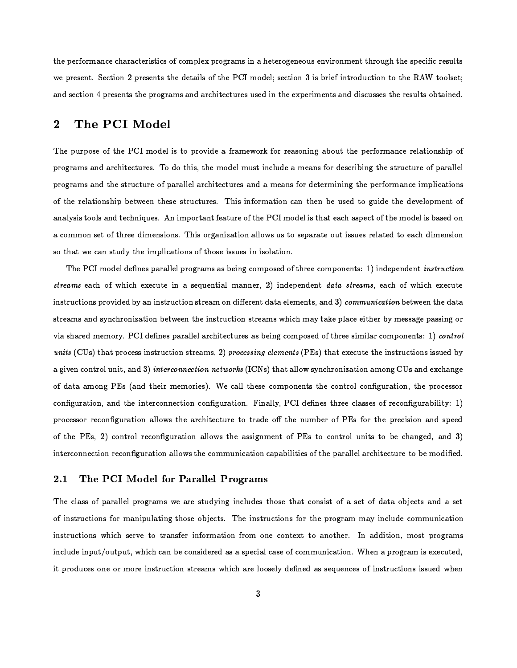the performance characteristics of complex programs in a heterogeneous environment through the specific results we present. Section 2 presents the details of the PCI model; section 3 is brief introduction to the RAW toolset; and section 4 presents the programs and architectures used in the experiments and discusses the results obtained.

#### The PCI Model  $\bf{2}$

The purpose of the PCI model is to provide a framework for reasoning about the performance relationship of programs and architectures. To do this, the model must include a means for describing the structure of parallel programs and the structure of parallel architectures and a means for determining the performance implications of the relationship between these structures. This information can then be used to guide the development of analysis tools and techniques. An important feature of the PCI model is that each aspect of the model is based on a common set of three dimensions. This organization allows us to separate out issues related to each dimension so that we can study the implications of those issues in isolation.

The PCI model defines parallel programs as being composed of three components: 1) independent *instruction* streams each of which execute in a sequential manner, 2) independent data streams, each of which execute instructions provided by an instruction stream on different data elements, and 3) communication between the data streams and synchronization between the instruction streams which may take place either by message passing or via shared memory. PCI defines parallel architectures as being composed of three similar components: 1) control units (CUs) that process instruction streams, 2) processing elements (PEs) that execute the instructions issued by a given control unit, and 3) interconnection networks (ICNs) that allow synchronization among CUs and exchange of data among PEs (and their memories). We call these components the control configuration, the processor configuration, and the interconnection configuration. Finally, PCI defines three classes of reconfigurability: 1) processor reconfiguration allows the architecture to trade off the number of PEs for the precision and speed of the PEs, 2) control reconfiguration allows the assignment of PEs to control units to be changed, and 3) interconnection reconfiguration allows the communication capabilities of the parallel architecture to be modified.

#### 2.1 The PCI Model for Parallel Programs

The class of parallel programs we are studying includes those that consist of a set of data objects and a set of instructions for manipulating those objects. The instructions for the program may include communication instructions which serve to transfer information from one context to another. In addition, most programs include input/output, which can be considered as a special case of communication. When a program is executed, it produces one or more instruction streams which are loosely defined as sequences of instructions issued when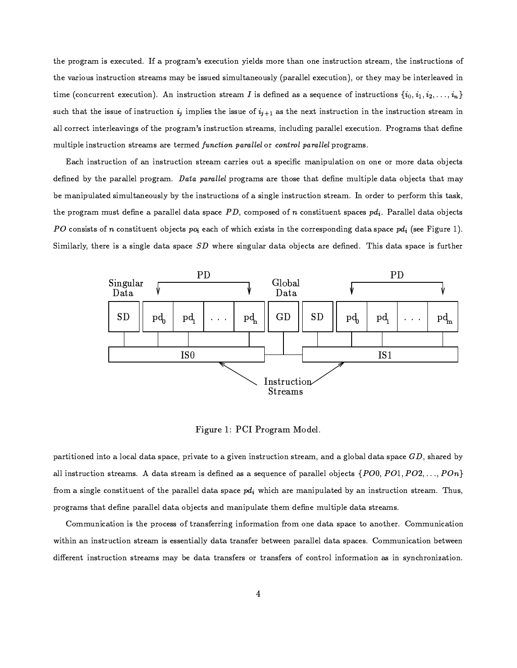the program is executed. If a program's execution yields more than one instruction stream, the instructions of the various instruction streams may be issued simultaneously (parallel execution), or they may be interleaved in time (concurrent execution). An instruction stream I is defined as a sequence of instructions  $\{i_0, i_1, i_2, \ldots, i_n\}$ such that the issue of instruction  $i_j$  implies the issue of  $i_{j+1}$  as the next instruction in the instruction stream in all correct interleavings of the program's instruction streams, including parallel execution. Programs that define multiple instruction streams are termed function parallel or control parallel programs.

Each instruction of an instruction stream carries out a specific manipulation on one or more data objects defined by the parallel program. Data parallel programs are those that define multiple data objects that may be manipulated simultaneously by the instructions of a single instruction stream. In order to perform this task, the program must define a parallel data space PD, composed of n constituent spaces  $pd_i$ . Parallel data objects PO consists of n constituent objects  $p_{0i}$  each of which exists in the corresponding data space  $pd_i$  (see Figure 1). Similarly, there is a single data space SD where singular data objects are defined. This data space is further



Figure 1: PCI Program Model.

partitioned into a local data space, private to a given instruction stream, and a global data space  $GD$ , shared by all instruction streams. A data stream is defined as a sequence of parallel objects  $\{PO0,PO1,PO2,\ldots,POn\}$ from a single constituent of the parallel data space  $pd_i$  which are manipulated by an instruction stream. Thus, programs that define parallel data objects and manipulate them define multiple data streams.

Communication is the process of transferring information from one data space to another. Communication within an instruction stream is essentially data transfer between parallel data spaces. Communication between different instruction streams may be data transfers or transfers of control information as in synchronization.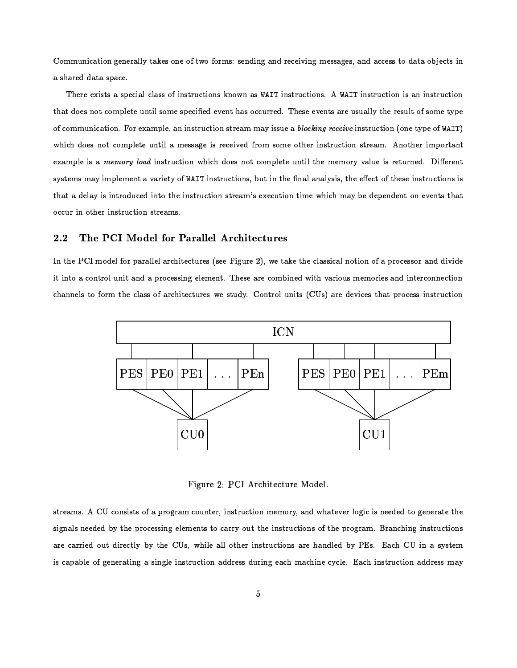Communication generally takes one of two forms: sending and receiving messages, and access to data objects in a shared data space.

There exists a special class of instructions known as WAIT instructions. A WAIT instruction is an instruction that does not complete until some specified event has occurred. These events are usually the result of some type of communication. For example, an instruction stream may issue a *blocking receive* instruction (one type of WAIT) which does not complete until a message is received from some other instruction stream. Another important example is a memory load instruction which does not complete until the memory value is returned. Different systems may implement a variety of WAIT instructions, but in the final analysis, the effect of these instructions is that a delay is introduced into the instruction stream's execution time which may be dependent on events that occur in other instruction streams.

#### $2.2$ The PCI Model for Parallel Architectures

In the PCI model for parallel architectures (see Figure 2), we take the classical notion of a processor and divide it into a control unit and a processing element. These are combined with various memories and interconnection channels to form the class of architectures we study. Control units (CUs) are devices that process instruction



Figure 2: PCI Architecture Model.

streams. A CU consists of a program counter, instruction memory, and whatever logic is needed to generate the signals needed by the processing elements to carry out the instructions of the program. Branching instructions are carried out directly by the CUs, while all other instructions are handled by PEs. Each CU in a system is capable of generating a single instruction address during each machine cycle. Each instruction address may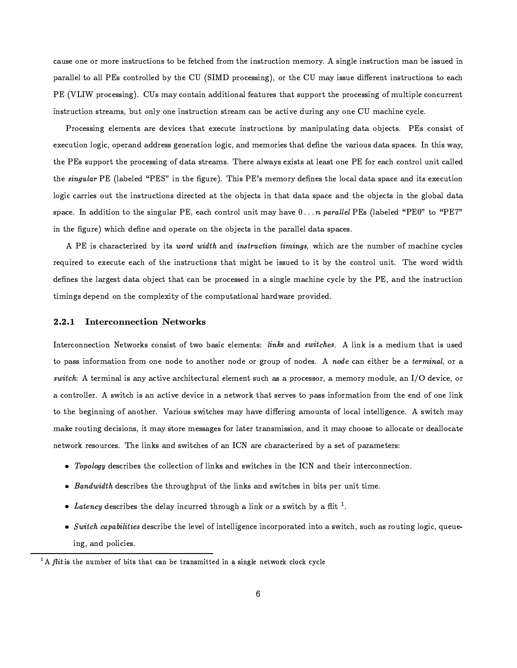cause one or more instructions to be fetched from the instruction memory. A single instruction man be issued in parallel to all PEs controlled by the CU (SIMD processing), or the CU may issue different instructions to each PE (VLIW processing). CUs may contain additional features that support the processing of multiple concurrent instruction streams, but only one instruction stream can be active during any one CU machine cycle.

Processing elements are devices that execute instructions by manipulating data objects. PEs consist of execution logic, operand address generation logic, and memories that define the various data spaces. In this way, the PEs support the processing of data streams. There always exists at least one PE for each control unit called the singular PE (labeled "PES" in the figure). This PE's memory defines the local data space and its execution logic carries out the instructions directed at the objects in that data space and the objects in the global data space. In addition to the singular PE, each control unit may have  $0...n$  parallel PEs (labeled "PE0" to "PE7" in the figure) which define and operate on the objects in the parallel data spaces.

A PE is characterized by its word width and instruction timings, which are the number of machine cycles required to execute each of the instructions that might be issued to it by the control unit. The word width defines the largest data object that can be processed in a single machine cycle by the PE, and the instruction timings depend on the complexity of the computational hardware provided.

#### $2.2.1$ **Interconnection Networks**

Interconnection Networks consist of two basic elements: links and switches. A link is a medium that is used to pass information from one node to another node or group of nodes. A node can either be a terminal, or a switch: A terminal is any active architectural element such as a processor, a memory module, an I/O device, or a controller. A switch is an active device in a network that serves to pass information from the end of one link to the beginning of another. Various switches may have differing amounts of local intelligence. A switch may make routing decisions, it may store messages for later transmission, and it may choose to allocate or deallocate network resources. The links and switches of an ICN are characterized by a set of parameters:

- Topology describes the collection of links and switches in the ICN and their interconnection.
- . Bandwidth describes the throughput of the links and switches in bits per unit time.
- Latency describes the delay incurred through a link or a switch by a flit  $^1$ .
- Switch capabilities describe the level of intelligence incorporated into a switch, such as routing logic, queueing, and policies.

 ${}^{1}$ A *flit* is the number of bits that can be transmitted in a single network clock cycle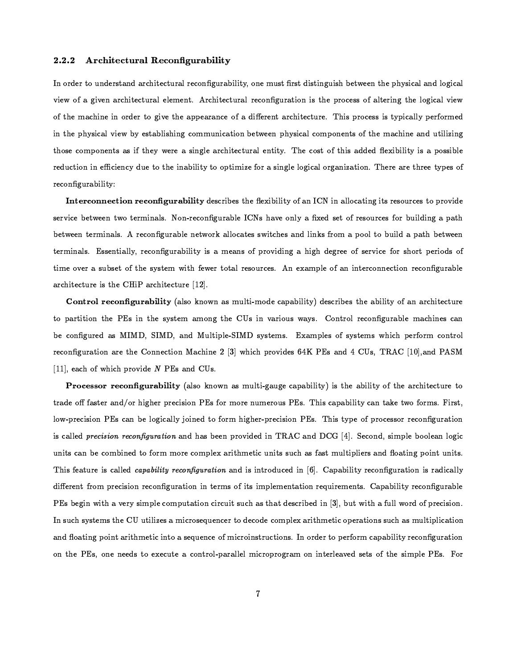#### $2.2.2$ Architectural Reconfigurability

In order to understand architectural reconfigurability, one must first distinguish between the physical and logical view of a given architectural element. Architectural reconfiguration is the process of altering the logical view of the machine in order to give the appearance of a different architecture. This process is typically performed in the physical view by establishing communication between physical components of the machine and utilizing those components as if they were a single architectural entity. The cost of this added flexibility is a possible reduction in efficiency due to the inability to optimize for a single logical organization. There are three types of reconfigurability:

Interconnection reconfigurability describes the flexibility of an ICN in allocating its resources to provide service between two terminals. Non-reconfigurable ICNs have only a fixed set of resources for building a path between terminals. A reconfigurable network allocates switches and links from a pool to build a path between terminals. Essentially, reconfigurability is a means of providing a high degree of service for short periods of time over a subset of the system with fewer total resources. An example of an interconnection reconfigurable architecture is the CHiP architecture [12].

Control reconfigurability (also known as multi-mode capability) describes the ability of an architecture to partition the PEs in the system among the CUs in various ways. Control reconfigurable machines can be configured as MIMD, SIMD, and Multiple-SIMD systems. Examples of systems which perform control reconfiguration are the Connection Machine 2 [3] which provides 64K PEs and 4 CUs, TRAC [10], and PASM [11], each of which provide  $N$  PEs and CUs.

Processor reconfigurability (also known as multi-gauge capability) is the ability of the architecture to trade off faster and/or higher precision PEs for more numerous PEs. This capability can take two forms. First, low-precision PEs can be logically joined to form higher-precision PEs. This type of processor reconfiguration is called *precision reconfiguration* and has been provided in TRAC and DCG [4]. Second, simple boolean logic units can be combined to form more complex arithmetic units such as fast multipliers and floating point units. This feature is called *capability reconfiguration* and is introduced in [6]. Capability reconfiguration is radically different from precision reconfiguration in terms of its implementation requirements. Capability reconfigurable PEs begin with a very simple computation circuit such as that described in [3], but with a full word of precision. In such systems the CU utilizes a microsequencer to decode complex arithmetic operations such as multiplication and floating point arithmetic into a sequence of microinstructions. In order to perform capability reconfiguration on the PEs, one needs to execute a control-parallel microprogram on interleaved sets of the simple PEs. For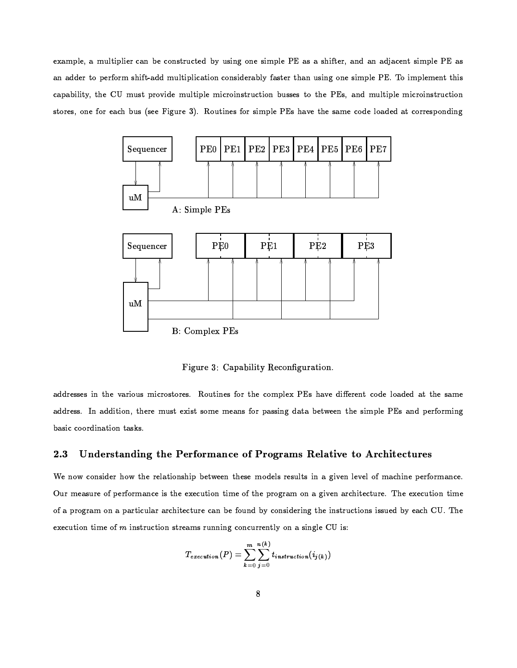example, a multiplier can be constructed by using one simple PE as a shifter, and an adjacent simple PE as an adder to perform shift-add multiplication considerably faster than using one simple PE. To implement this capability, the CU must provide multiple microinstruction busses to the PEs, and multiple microinstruction stores, one for each bus (see Figure 3). Routines for simple PEs have the same code loaded at corresponding



Figure 3: Capability Reconfiguration.

addresses in the various microstores. Routines for the complex PEs have different code loaded at the same address. In addition, there must exist some means for passing data between the simple PEs and performing basic coordination tasks.

#### 2.3 Understanding the Performance of Programs Relative to Architectures

We now consider how the relationship between these models results in a given level of machine performance. Our measure of performance is the execution time of the program on a given architecture. The execution time of a program on a particular architecture can be found by considering the instructions issued by each CU. The execution time of  $m$  instruction streams running concurrently on a single CU is:

$$
T_{execution}(P) = \sum_{k=0}^{m} \sum_{j=0}^{n(k)} t_{instruction}(i_{j(k)})
$$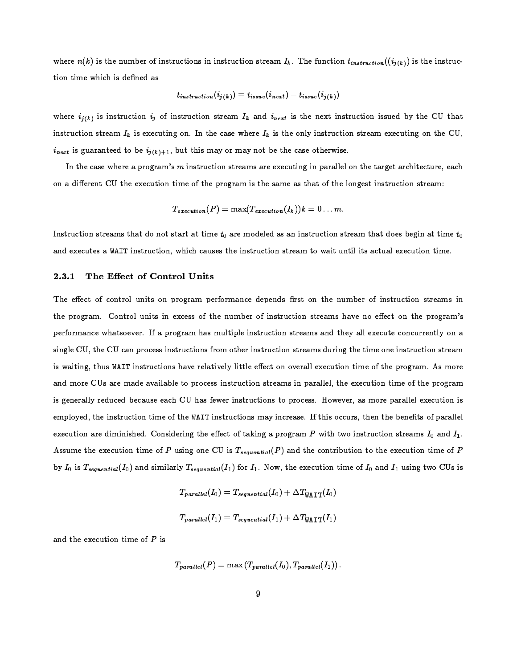where  $n(k)$  is the number of instructions in instruction stream  $I_k$ . The function  $t_{instructor}((i_{j(k)})$  is the instruction time which is defined as

$$
t_{\textit{instruction}}(i_{j(k)}) = t_{\textit{issue}}(i_{\textit{next}}) - t_{\textit{issue}}(i_{j(k)})
$$

where  $i_{j(k)}$  is instruction  $i_j$  of instruction stream  $I_k$  and  $i_{next}$  is the next instruction issued by the CU that instruction stream  $I_k$  is executing on. In the case where  $I_k$  is the only instruction stream executing on the CU,  $i_{next}$  is guaranteed to be  $i_{j(k)+1}$ , but this may or may not be the case otherwise.

In the case where a program's m instruction streams are executing in parallel on the target architecture, each on a different CU the execution time of the program is the same as that of the longest instruction stream:

$$
T_{execution}(P) = \max(T_{execution}(I_k))k = 0 \ldots m.
$$

Instruction streams that do not start at time  $t_0$  are modeled as an instruction stream that does begin at time  $t_0$ and executes a WAIT instruction, which causes the instruction stream to wait until its actual execution time.

#### $2.3.1$ The Effect of Control Units

The effect of control units on program performance depends first on the number of instruction streams in the program. Control units in excess of the number of instruction streams have no effect on the program's performance whatsoever. If a program has multiple instruction streams and they all execute concurrently on a single CU, the CU can process instructions from other instruction streams during the time one instruction stream is waiting, thus WAIT instructions have relatively little effect on overall execution time of the program. As more and more CUs are made available to process instruction streams in parallel, the execution time of the program is generally reduced because each CU has fewer instructions to process. However, as more parallel execution is employed, the instruction time of the WAIT instructions may increase. If this occurs, then the benefits of parallel execution are diminished. Considering the effect of taking a program  $P$  with two instruction streams  $I_0$  and  $I_1$ . Assume the execution time of P using one CU is  $T_{sequential}(P)$  and the contribution to the execution time of P by  $I_0$  is  $T_{sequential}(I_0)$  and similarly  $T_{sequential}(I_1)$  for  $I_1$ . Now, the execution time of  $I_0$  and  $I_1$  using two CUs is

$$
T_{parallel}(I_0) = T_{sequential}(I_0) + \Delta T_{\text{WAIT}}(I_0)
$$

$$
T_{parallel}(I_1) = T_{sequential}(I_1) + \Delta T_{\text{WAIT}}(I_1)
$$

and the execution time of  $P$  is

$$
T_{parallel}(P) = \max(T_{parallel}(I_0), T_{parallel}(I_1)) .
$$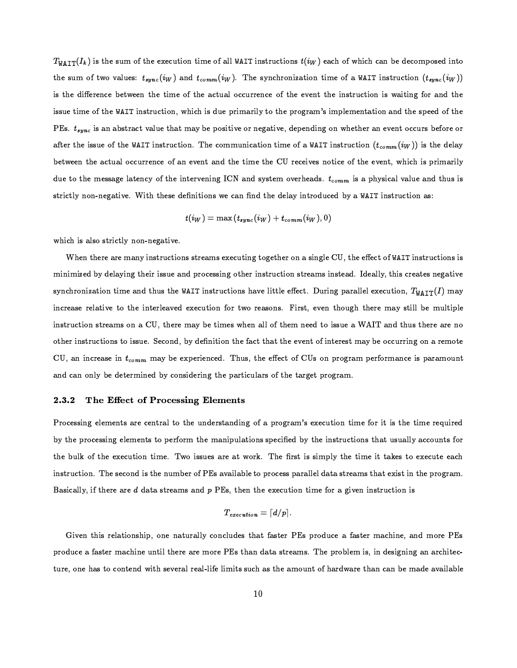$T_{\text{WAIT}}(I_k)$  is the sum of the execution time of all WAIT instructions  $t(i_W)$  each of which can be decomposed into the sum of two values:  $t_{sync}(i_W)$  and  $t_{comm}(i_W)$ . The synchronization time of a WAIT instruction  $(t_{sync}(i_W))$ is the difference between the time of the actual occurrence of the event the instruction is waiting for and the issue time of the WAIT instruction, which is due primarily to the program's implementation and the speed of the PEs.  $t_{sync}$  is an abstract value that may be positive or negative, depending on whether an event occurs before or after the issue of the WAIT instruction. The communication time of a WAIT instruction  $(t_{comm}(i_{W}))$  is the delay between the actual occurrence of an event and the time the CU receives notice of the event, which is primarily due to the message latency of the intervening ICN and system overheads.  $t_{comm}$  is a physical value and thus is strictly non-negative. With these definitions we can find the delay introduced by a WAIT instruction as:

$$
t(i_W) = \max\left(t_{sync}(i_W) + t_{comm}(i_W), 0\right)
$$

which is also strictly non-negative.

When there are many instructions streams executing together on a single CU, the effect of WAIT instructions is minimized by delaying their issue and processing other instruction streams instead. Ideally, this creates negative synchronization time and thus the WAIT instructions have little effect. During parallel execution,  $T_{W\text{AIT}}(I)$  may increase relative to the interleaved execution for two reasons. First, even though there may still be multiple instruction streams on a CU, there may be times when all of them need to issue a WAIT and thus there are no other instructions to issue. Second, by definition the fact that the event of interest may be occurring on a remote CU, an increase in  $t_{comm}$  may be experienced. Thus, the effect of CUs on program performance is paramount and can only be determined by considering the particulars of the target program.

#### The Effect of Processing Elements  $2.3.2$

Processing elements are central to the understanding of a program's execution time for it is the time required by the processing elements to perform the manipulations specified by the instructions that usually accounts for the bulk of the execution time. Two issues are at work. The first is simply the time it takes to execute each instruction. The second is the number of PEs available to process parallel data streams that exist in the program. Basically, if there are  $d$  data streams and  $p$  PEs, then the execution time for a given instruction is

$$
T_{execution} = \lceil d/p \rceil.
$$

Given this relationship, one naturally concludes that faster PEs produce a faster machine, and more PEs produce a faster machine until there are more PEs than data streams. The problem is, in designing an architecture, one has to contend with several real-life limits such as the amount of hardware than can be made available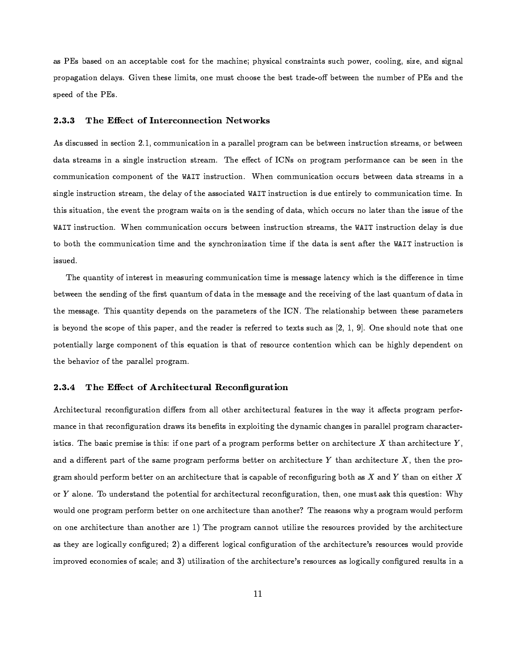as PEs based on an acceptable cost for the machine; physical constraints such power, cooling, size, and signal propagation delays. Given these limits, one must choose the best trade-off between the number of PEs and the speed of the PEs.

#### The Effect of Interconnection Networks 2.3.3

As discussed in section 2.1, communication in a parallel program can be between instruction streams, or between data streams in a single instruction stream. The effect of ICNs on program performance can be seen in the communication component of the WAIT instruction. When communication occurs between data streams in a single instruction stream, the delay of the associated WAIT instruction is due entirely to communication time. In this situation, the event the program waits on is the sending of data, which occurs no later than the issue of the WAIT instruction. When communication occurs between instruction streams, the WAIT instruction delay is due to both the communication time and the synchronization time if the data is sent after the WAIT instruction is issued.

The quantity of interest in measuring communication time is message latency which is the difference in time between the sending of the first quantum of data in the message and the receiving of the last quantum of data in the message. This quantity depends on the parameters of the ICN. The relationship between these parameters is beyond the scope of this paper, and the reader is referred to texts such as  $[2, 1, 9]$ . One should note that one potentially large component of this equation is that of resource contention which can be highly dependent on the behavior of the parallel program.

#### 2.3.4 The Effect of Architectural Reconfiguration

Architectural reconfiguration differs from all other architectural features in the way it affects program performance in that reconfiguration draws its benefits in exploiting the dynamic changes in parallel program characteristics. The basic premise is this: if one part of a program performs better on architecture  $X$  than architecture  $Y$ , and a different part of the same program performs better on architecture Y than architecture  $X$ , then the program should perform better on an architecture that is capable of reconfiguring both as  $X$  and  $Y$  than on either  $X$ or  $Y$  alone. To understand the potential for architectural reconfiguration, then, one must ask this question: Why would one program perform better on one architecture than another? The reasons why a program would perform on one architecture than another are 1) The program cannot utilize the resources provided by the architecture as they are logically configured; 2) a different logical configuration of the architecture's resources would provide improved economies of scale; and 3) utilization of the architecture's resources as logically configured results in a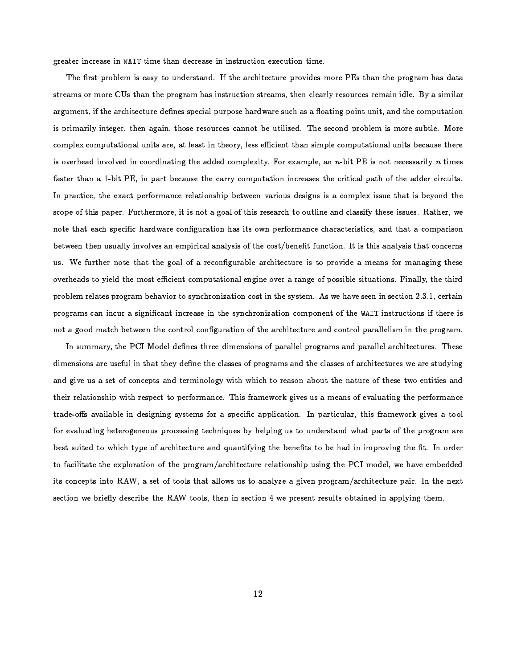$Y$  ftbackgroundfunction  $Y$  and  $Y$  and  $Y$  according to the contribution of  $Y$  and  $Y$  and  $Y$  and  $Y$  and  $Y$  and  $Y$  and  $Y$  and  $Y$  and  $Y$  and  $Y$  and  $Y$  and  $Y$  and  $Y$  and  $Y$  and  $Y$  and  $Y$  and  $Y$  and  $Y$  and

 $\blacksquare$ iachja $\blacksquare$  $\blacksquare$  . Turnsdated that the contract of the contract of  $\blacksquare$  . Turnsdated the contract of  $\blacksquare$ fZVUY.\<\_4RW[TW@awiTUg<R f.VU^Hg<acTUR)^WTU\<VbRysRHB[<R)]]U`R)^)acfZ}`<\<Vb`BX.]UR g<f.VUs<|fZVbR ]U\<^HgFfZ]f "XZfZTbac[<Yj`XZac[T\<[<acT)Zf.[<s TUg<R ^)X.\_4`<\TUfZTbacXZ[  $\blacksquare$  in the contraction of the contraction of the contraction  $\blacksquare$  $\blacksquare$ ae ar an actual de familien de la constant de la constant de la constant de la constant de la constant de la c faster than a 1-bit PE, in part because the carry computation increases the critical path of the adder circuits. In practice, the exact performance relationship between various designs is a complex issue that is beyond the  $\blacksquare$  for the contract of the contract of the contract of the contract of the contract of the contract of the contract of the contract of the contract of the contract of the contract of the contract of the contract of th  $\mathcal{L}$  is the function of the function of the function  $\mathcal{L}$  is the function of the function of the function of the function of the function of the function of the function of the function of the function of the func  $T$  in the following the following  $\overline{A}$  and  $\overline{A}$  and  $\overline{A}$  actually  $\overline{A}$  following  $\overline{A}$ us. We further note that the goal of a reconfigurable architecture is to provide a means for managing these  $\blacksquare$  the function of the  $\blacksquare$  and  $\blacksquare$  and  $\blacksquare$  . Turns the  $\blacksquare$  $\blacksquare$  $\blacksquare$  and a function  $\blacksquare$  and  $\blacksquare$  are the  $\blacksquare$  and  $\blacksquare$  are the  $\blacksquare$ not a good match between the control configuration of the architecture and control parallelism in the program.

 $\blacksquare$  is the following the following the following the following the following the following the following the following the following the following the following the following the following the following the following t  $\blacksquare$  and the function of the function  $\blacksquare$  and  $\blacksquare$  and  $\blacksquare$  $\mathcal{F}$  is the fit and fit and fit and fit and fit and fit and fit and fit and fit and fit and fit and fit and fit and fit and fit and fit and fit and fit and fit and fit and fit and fit and fit and fit and fit and fit an trade-offs available in designing systems for a specific application. In particular, this framework gives a tool  $\blacksquare$  intervalses to the following relationship of the contract of the contract of the contract of the contract of the contract of the contract of the contract of the contract of the contract of the contract of the contr  $\blacksquare$ , the film and particles the function of  $\blacksquare$ to facilitate the exploration of the program/architecture relationship using the PCI model, we have embedded tuations in the first product of the total contract of the total contract of the total contract of the total contract of the total contract of the total contract of the total contract of the total contract of the total con  $U$  and turns turns the form  $U$  is turns to the form  $T$  and  $T$  turns to the form  $T$  turns to the form  $T$ 

 $\blacksquare$  and the contraction of the contraction of the contraction of the contraction of the contraction of the contraction of the contraction of the contraction of the contraction of the contraction of the contraction of t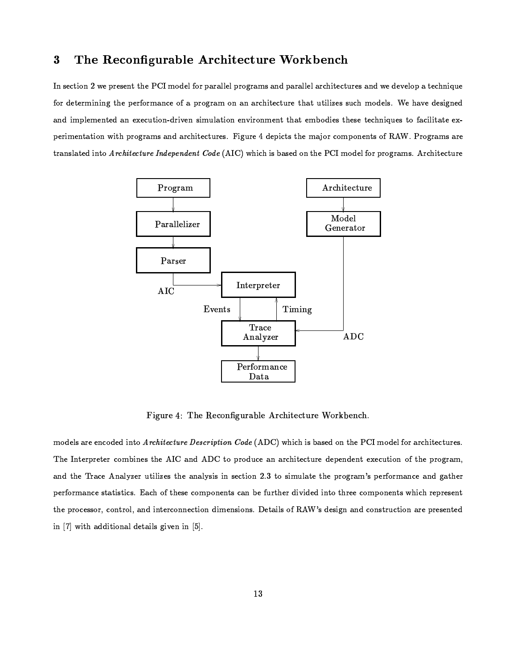#### The Reconfigurable Architecture Workbench  $\bf{3}$

In section 2 we present the PCI model for parallel programs and parallel architectures and we develop a technique for determining the performance of a program on an architecture that utilizes such models. We have designed and implemented an execution-driven simulation environment that embodies these techniques to facilitate experimentation with programs and architectures. Figure 4 depicts the major components of RAW. Programs are translated into Architecture Independent Code (AIC) which is based on the PCI model for programs. Architecture



Figure 4: The Reconfigurable Architecture Workbench.

models are encoded into Architecture Description Code (ADC) which is based on the PCI model for architectures. The Interpreter combines the AIC and ADC to produce an architecture dependent execution of the program, and the Trace Analyzer utilizes the analysis in section 2.3 to simulate the program's performance and gather performance statistics. Each of these components can be further divided into three components which represent the processor, control, and interconnection dimensions. Details of RAW's design and construction are presented in [7] with additional details given in [5].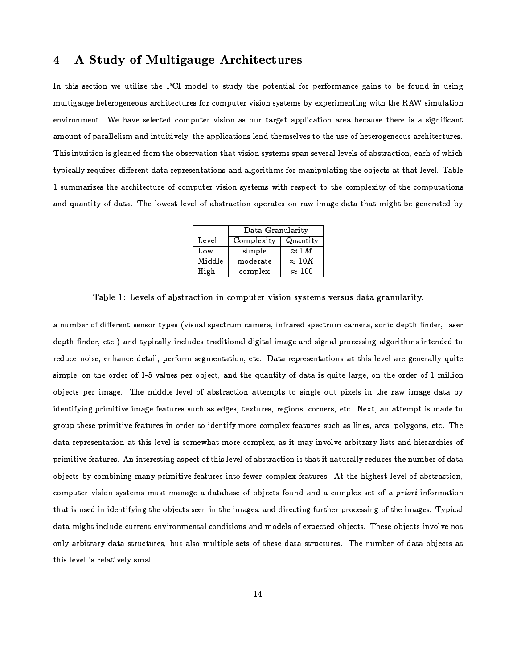#### A Study of Multigauge Architectures  $\overline{\mathbf{4}}$

In this section we utilize the PCI model to study the potential for performance gains to be found in using multigauge heterogeneous architectures for computer vision systems by experimenting with the RAW simulation environment. We have selected computer vision as our target application area because there is a significant amount of parallelism and intuitively, the applications lend themselves to the use of heterogeneous architectures. This intuition is gleaned from the observation that vision systems span several levels of abstraction, each of which typically requires different data representations and algorithms for manipulating the objects at that level. Table 1 summarizes the architecture of computer vision systems with respect to the complexity of the computations and quantity of data. The lowest level of abstraction operates on raw image data that might be generated by

|        | Data Granularity |               |  |
|--------|------------------|---------------|--|
| Level  | Complexity       | Quantity      |  |
| Low    | simple           | $\approx 1 M$ |  |
| Middle | moderate         | $\approx 10K$ |  |
| High   | complex          | $\approx 100$ |  |

Table 1: Levels of abstraction in computer vision systems versus data granularity.

a number of different sensor types (visual spectrum camera, infrared spectrum camera, sonic depth finder, laser depth finder, etc.) and typically includes traditional digital image and signal processing algorithms intended to reduce noise, enhance detail, perform segmentation, etc. Data representations at this level are generally quite simple, on the order of 1-5 values per object, and the quantity of data is quite large, on the order of 1 million objects per image. The middle level of abstraction attempts to single out pixels in the raw image data by identifying primitive image features such as edges, textures, regions, corners, etc. Next, an attempt is made to group these primitive features in order to identify more complex features such as lines, arcs, polygons, etc. The data representation at this level is somewhat more complex, as it may involve arbitrary lists and hierarchies of primitive features. An interesting aspect of this level of abstraction is that it naturally reduces the number of data objects by combining many primitive features into fewer complex features. At the highest level of abstraction, computer vision systems must manage a database of objects found and a complex set of a priori information that is used in identifying the objects seen in the images, and directing further processing of the images. Typical data might include current environmental conditions and models of expected objects. These objects involve not only arbitrary data structures, but also multiple sets of these data structures. The number of data objects at this level is relatively small.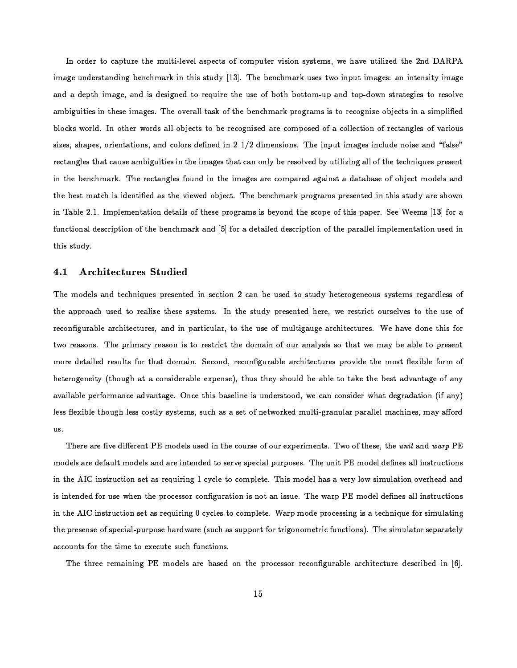In order to capture the multi-level aspects of computer vision systems, we have utilized the 2nd DARPA  $\blacksquare$  $T$  is the state of the state  $\mathbf{M}$  and  $\mathbf{M}$  is the state of the state of the state of the state of the state of the state of the state of the state of the state of the state of the state of the state of the state fZ\_Fp<acYZ\aeTbawR)]ae[dTbg<R)]UR,ae\_ofZY.R)])& g<RX@k.R)VUf.}e}TUf.]U{oX@iLTUg<R,pBR)[^\*g\_4fZVb{F`<VUX.YZVbfZ\_4]ac] TUXFVbR)^)XZY.[<ac)RX.p"RHR)^)Tb]jac[4fF]bae\_o`<}caBR)s blocks world. In other words all objects to be recognized are composed of a collection of rectangles of various  $\blacksquare$  is the form  $\blacksquare$  in the  $\blacksquare$  same  $\blacksquare$  . The  $\blacksquare$  $\mathcal{M}$  is pure to tugizate the contract of the contract of the contract of the contract of the contract of the contract of the contract of the contract of the contract of the contract of the contract of the contract of for the first particle of the first function of the first particle of the first particle of the first particle of the first particle of the first particle of the first particle of the first particle of the first particle  $\blacksquare$  to the contract of the contract of the contract of the contract of the contract of the contract of the contract of the contract of the contract of the contract of the contract of the contract of the contract of the ae[ fZp<}cR ' @Lm\_4`}eRW\_4R)[TUf.TUacX@[ s<R)TUf.ac}e] X9iLTUg<R)]bR`<VbXZYZVbfZ\_o]2ac]pBR)q.XZ[<sxTUg<R]U^WXZ`RX@iLTUgae] `fZ`R)V)'+R)RlR)RW\_4] -!iXZV <sup>f</sup> functional description of the benchmark and [5] for a detailed description of the parallel implementation used in  $\blacksquare$ 

### -/. +BM1H3 \*BM3 P- \*=/3I=

 $\begin{array}{lllllllll} \text{F1} & \text{F1} & \text{F2} & \text{F1} & \text{F3} & \text{F4} & \text{F5} & \text{F6} & \text{F7} & \text{F8} & \text{F7} & \text{F8} & \text{F8} & \text{F9} & \text{F9} & \text{F9} & \text{F9} & \text{F9} & \text{F9} & \text{F9} & \text{F9} & \text{F9} & \text{F9} & \text{F9} & \text{F9} & \text{F9} & \text{F9} & \text{F9} & \text{F9} & \text{F9}$ the approach used to realize these systems. In the study presented here, we restrict ourselves to the use of  $\blacksquare$ and the contract the contract of the contract of the contract of the contract of the contract of the contract of the contract of the contract of the contract of the contract of the contract of the contract of the contract more detailed results for that domain. Second, reconfigurable architectures provide the most flexible form of  $T$  , and the contraction of the contraction of the contraction of the contraction of the contraction of the contraction of the contraction of the contraction of the contraction of the contraction of the contraction of th  $\blacksquare$  and the contraction of the contraction of the contraction of the contraction of the contraction of the contraction of the contraction of the contraction of the contraction of the contraction of the contraction of t  $\blacksquare$ futualist  $\blacksquare$ us.

There are five different PE models used in the course of our experiments. Two of these, the *unit* and *warp* PE  $\Gamma$  if  $\Gamma$  if  $\Gamma$  is the contract of the contract of the  $\Gamma$ the form in the following the following the following the following the following the following the following the following the following the following the following the following the following the following the following  $\blacksquare$ turation is the second three contracts in the contracts of the contracts of the contracts of the contracts of the contracts of the contracts of the contracts of the contracts of the contracts of the contracts of the contra  $\mathbf{M}$  is the function of the function  $\mathbf{M}$  and  $\mathbf{M}$  and  $\mathbf{M}$  and  $\mathbf{M}$  and  $\mathbf{M}$  and  $\mathbf{M}$ for a contract the contract of the  $\mathcal{U}$  and  $\mathcal{U}$  are  $\mathcal{U}$  and  $\mathcal{U}$  and  $\mathcal{U}$ 

 $\blacksquare$ iichem (in terministe de la comparation) and the comparation of the comparation of the comparation of the comparation of the comparation of the comparation of the comparation of the comparation of the comparation of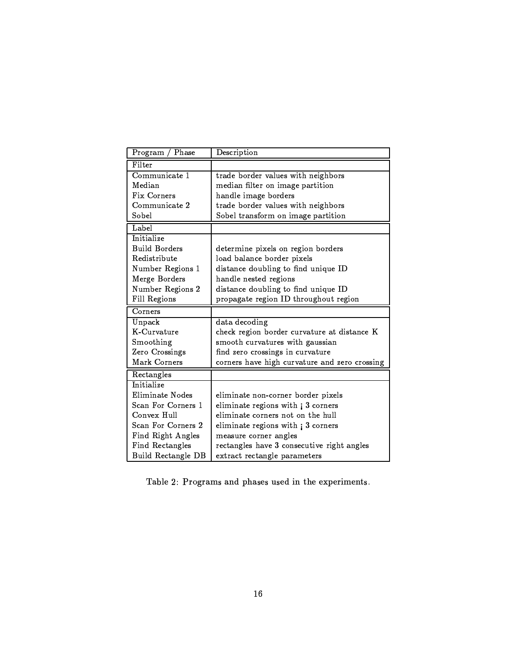| Program<br>Phase     | Description                                   |
|----------------------|-----------------------------------------------|
| Filter               |                                               |
| Communicate 1        | trade border values with neighbors            |
| Median               | median filter on image partition              |
| Fix Corners          | handle image borders                          |
| Communicate 2        | trade border values with neighbors            |
| Sobel                | Sobel transform on image partition            |
| Label                |                                               |
| Initialize           |                                               |
| <b>Build Borders</b> | determine pixels on region borders            |
| Redistribute         | load balance border pixels                    |
| Number Regions 1     | distance doubling to find unique ID           |
| Merge Borders        | handle nested regions                         |
| Number Regions 2     | distance doubling to find unique ID           |
| Fill Regions         | propagate region ID throughout region         |
|                      |                                               |
| Corners              |                                               |
| Unpack               | data decoding                                 |
| K-Curvature          | check region border curvature at distance K   |
| Smoothing            | smooth curvatures with gaussian               |
| Zero Crossings       | find zero crossings in curvature              |
| Mark Corners         | corners have high curvature and zero crossing |
| Rectangles           |                                               |
| Initialize           |                                               |
| Eliminate Nodes      | eliminate non-corner border pixels            |
| Scan For Corners 1   | eliminate regions with; 3 corners             |
| Convex Hull          | eliminate corners not on the hull             |
| Scan For Corners 2   | eliminate regions with; 3 corners             |
| Find Right Angles    | measure corner angles                         |
| Find Rectangles      | rectangles have 3 consecutive right angles    |

Table 2: Programs and phases used in the experiments.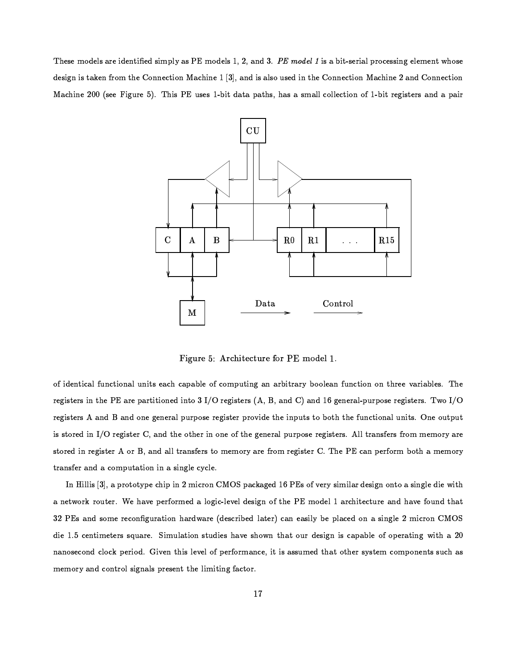These models are identified simply as PE models 1, 2, and 3. PE model 1 is a bit-serial processing element whose design is taken from the Connection Machine 1 [3], and is also used in the Connection Machine 2 and Connection Machine 200 (see Figure 5). This PE uses 1-bit data paths, has a small collection of 1-bit registers and a pair



Figure 5: Architecture for PE model 1.

of identical functional units each capable of computing an arbitrary boolean function on three variables. The registers in the PE are partitioned into 3 I/O registers  $(A, B, and C)$  and 16 general-purpose registers. Two I/O registers A and B and one general purpose register provide the inputs to both the functional units. One output is stored in I/O register C, and the other in one of the general purpose registers. All transfers from memory are stored in register A or B, and all transfers to memory are from register C. The PE can perform both a memory transfer and a computation in a single cycle.

In Hillis [3], a prototype chip in 2 micron CMOS packaged 16 PEs of very similar design onto a single die with a network router. We have performed a logic-level design of the PE model 1 architecture and have found that 32 PEs and some reconfiguration hardware (described later) can easily be placed on a single 2 micron CMOS die 1.5 centimeters square. Simulation studies have shown that our design is capable of operating with a 20 nanosecond clock period. Given this level of performance, it is assumed that other system components such as memory and control signals present the limiting factor.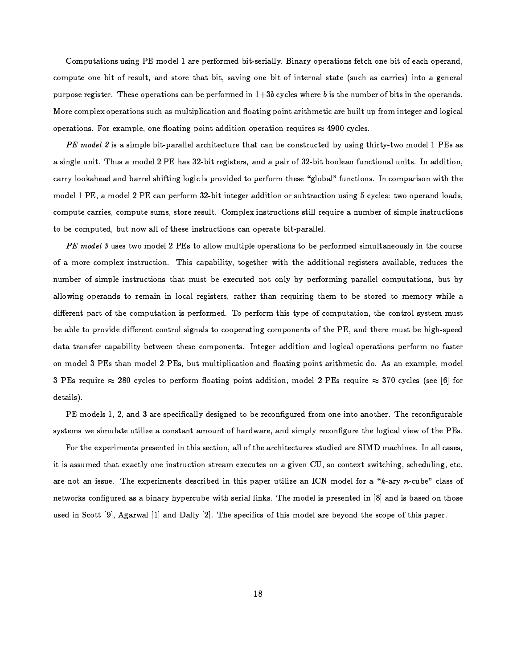Computations using PE model 1 are performed bit-serially. Binary operations fetch one bit of each operand, compute one bit of result, and store that bit, saving one bit of internal state (such as carries) into a general purpose register. These operations can be performed in  $1+3b$  cycles where b is the number of bits in the operands. More complex operations such as multiplication and floating point arithmetic are built up from integer and logical operations. For example, one floating point addition operation requires  $\approx 4900$  cycles.

PE model 2 is a simple bit-parallel architecture that can be constructed by using thirty-two model 1 PEs as a single unit. Thus a model 2 PE has 32-bit registers, and a pair of 32-bit boolean functional units. In addition, carry lookahead and barrel shifting logic is provided to perform these "global" functions. In comparison with the model 1 PE, a model 2 PE can perform 32-bit integer addition or subtraction using 5 cycles: two operand loads, compute carries, compute sums, store result. Complex instructions still require a number of simple instructions to be computed, but now all of these instructions can operate bit-parallel.

PE model 3 uses two model 2 PEs to allow multiple operations to be performed simultaneously in the course of a more complex instruction. This capability, together with the additional registers available, reduces the number of simple instructions that must be executed not only by performing parallel computations, but by allowing operands to remain in local registers, rather than requiring them to be stored to memory while a different part of the computation is performed. To perform this type of computation, the control system must be able to provide different control signals to cooperating components of the PE, and there must be high-speed data transfer capability between these components. Integer addition and logical operations perform no faster on model 3 PEs than model 2 PEs, but multiplication and floating point arithmetic do. As an example, model 3 PEs require  $\approx$  280 cycles to perform floating point addition, model 2 PEs require  $\approx$  370 cycles (see [6] for details).

PE models 1, 2, and 3 are specifically designed to be reconfigured from one into another. The reconfigurable systems we simulate utilize a constant amount of hardware, and simply reconfigure the logical view of the PEs.

For the experiments presented in this section, all of the architectures studied are SIMD machines. In all cases, it is assumed that exactly one instruction stream executes on a given CU, so context switching, scheduling, etc. are not an issue. The experiments described in this paper utilize an ICN model for a "k-ary n-cube" class of networks configured as a binary hypercube with serial links. The model is presented in [8] and is based on those used in Scott  $[9]$ , Agarwal  $[1]$  and Dally  $[2]$ . The specifics of this model are beyond the scope of this paper.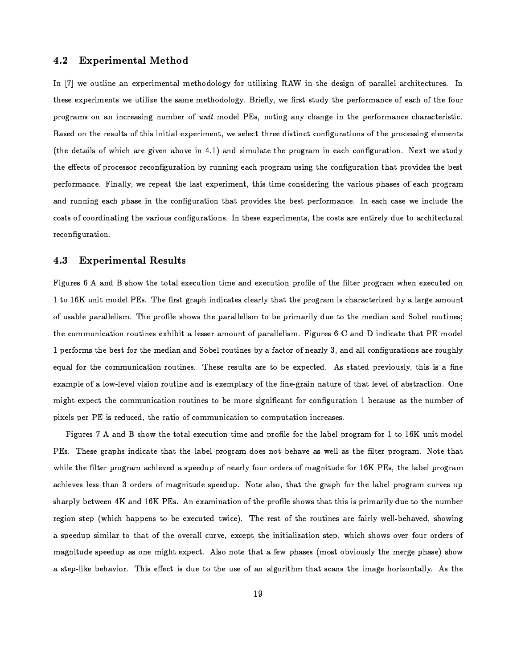#### 4.2 **Experimental Method**

In [7] we outline an experimental methodology for utilizing RAW in the design of parallel architectures. In these experiments we utilize the same methodology. Briefly, we first study the performance of each of the four programs on an increasing number of *unit* model PEs, noting any change in the performance characteristic. Based on the results of this initial experiment, we select three distinct configurations of the processing elements (the details of which are given above in 4.1) and simulate the program in each configuration. Next we study the effects of processor reconfiguration by running each program using the configuration that provides the best performance. Finally, we repeat the last experiment, this time considering the various phases of each program and running each phase in the configuration that provides the best performance. In each case we include the costs of coordinating the various configurations. In these experiments, the costs are entirely due to architectural reconfiguration.

#### 4.3 **Experimental Results**

Figures 6 A and B show the total execution time and execution profile of the filter program when executed on 1 to 16K unit model PEs. The first graph indicates clearly that the program is characterized by a large amount of usable parallelism. The profile shows the parallelism to be primarily due to the median and Sobel routines; the communication routines exhibit a lesser amount of parallelism. Figures 6 C and D indicate that PE model 1 performs the best for the median and Sobel routines by a factor of nearly 3, and all configurations are roughly equal for the communication routines. These results are to be expected. As stated previously, this is a fine example of a low-level vision routine and is exemplary of the fine-grain nature of that level of abstraction. One might expect the communication routines to be more significant for configuration 1 because as the number of pixels per PE is reduced, the ratio of communication to computation increases.

Figures 7 A and B show the total execution time and profile for the label program for 1 to 16K unit model PEs. These graphs indicate that the label program does not behave as well as the filter program. Note that while the filter program achieved a speedup of nearly four orders of magnitude for 16K PEs, the label program achieves less than 3 orders of magnitude speedup. Note also, that the graph for the label program curves up sharply between 4K and 16K PEs. An examination of the profile shows that this is primarily due to the number region step (which happens to be executed twice). The rest of the routines are fairly well-behaved, showing a speedup similar to that of the overall curve, except the initialization step, which shows over four orders of magnitude speedup as one might expect. Also note that a few phases (most obviously the merge phase) show a step-like behavior. This effect is due to the use of an algorithm that scans the image horizontally. As the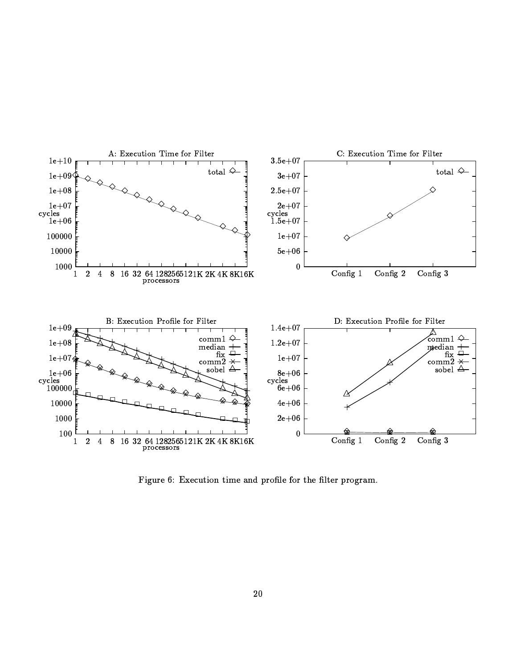

Figure 6: Execution time and profile for the filter program.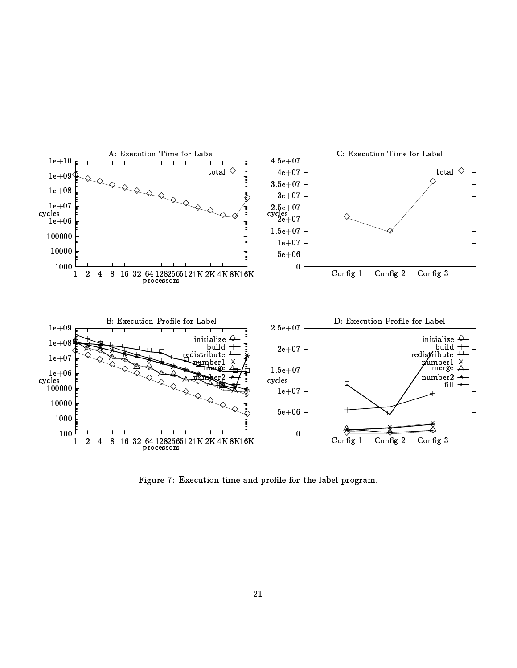

6"7:987 Q9 81: 9%M707y;>=07K9 BP=D Qf;@9;>Q 0OH9@B/ 9@ QW;N9>QRBCK{2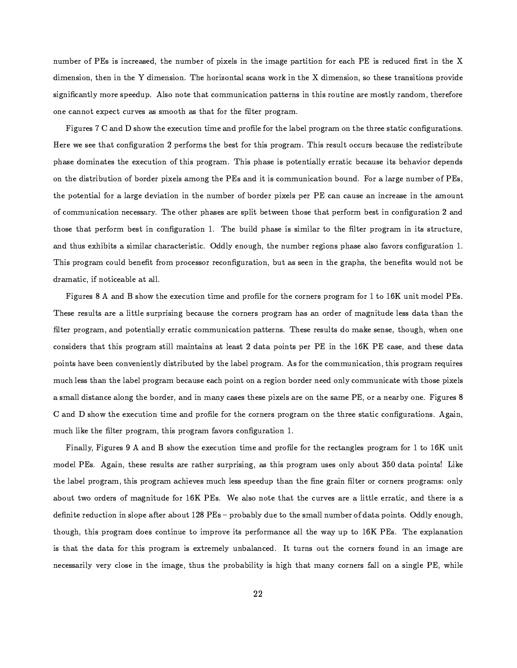number of PEs is increased, the number of pixels in the image partition for each PE is reduced first in the X dimension, then in the Y dimension. The horizontal scans work in the X dimension, so these transitions provide significantly more speedup. Also note that communication patterns in this routine are mostly random, therefore one cannot expect curves as smooth as that for the filter program.

Figures 7 C and D show the execution time and profile for the label program on the three static configurations. Here we see that configuration 2 performs the best for this program. This result occurs because the redistribute phase dominates the execution of this program. This phase is potentially erratic because its behavior depends on the distribution of border pixels among the PEs and it is communication bound. For a large number of PEs, the potential for a large deviation in the number of border pixels per PE can cause an increase in the amount of communication necessary. The other phases are split between those that perform best in configuration 2 and those that perform best in configuration 1. The build phase is similar to the filter program in its structure, and thus exhibits a similar characteristic. Oddly enough, the number regions phase also favors configuration 1. This program could benefit from processor reconfiguration, but as seen in the graphs, the benefits would not be dramatic, if noticeable at all.

Figures 8 A and B show the execution time and profile for the corners program for 1 to 16K unit model PEs. These results are a little surprising because the corners program has an order of magnitude less data than the filter program, and potentially erratic communication patterns. These results do make sense, though, when one considers that this program still maintains at least 2 data points per PE in the 16K PE case, and these data points have been conveniently distributed by the label program. As for the communication, this program requires much less than the label program because each point on a region border need only communicate with those pixels a small distance along the border, and in many cases these pixels are on the same PE, or a nearby one. Figures 8 C and D show the execution time and profile for the corners program on the three static configurations. Again, much like the filter program, this program favors configuration 1.

Finally, Figures 9 A and B show the execution time and profile for the rectangles program for 1 to 16K unit model PEs. Again, these results are rather surprising, as this program uses only about 350 data points! Like the label program, this program achieves much less speedup than the fine grain filter or corners programs: only about two orders of magnitude for 16K PEs. We also note that the curves are a little erratic, and there is a definite reduction in slope after about 128 PEs - probably due to the small number of data points. Oddly enough, though, this program does continue to improve its performance all the way up to 16K PEs. The explanation is that the data for this program is extremely unbalanced. It turns out the corners found in an image are necessarily very close in the image, thus the probability is high that many corners fall on a single PE, while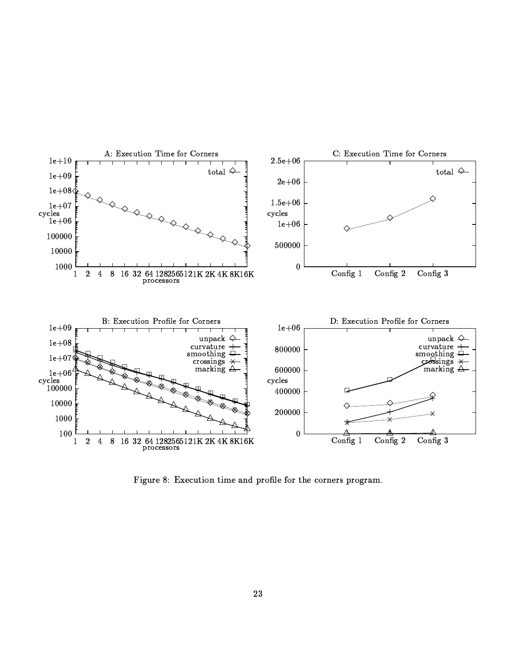

6"7y987 Q9 <sup>&</sup>gt; : 9%M707:;k=07K9JBC=D QW;@9;>Q/0OH9GMW;>Qh=H9WQ Qf;N9kQRBCK{2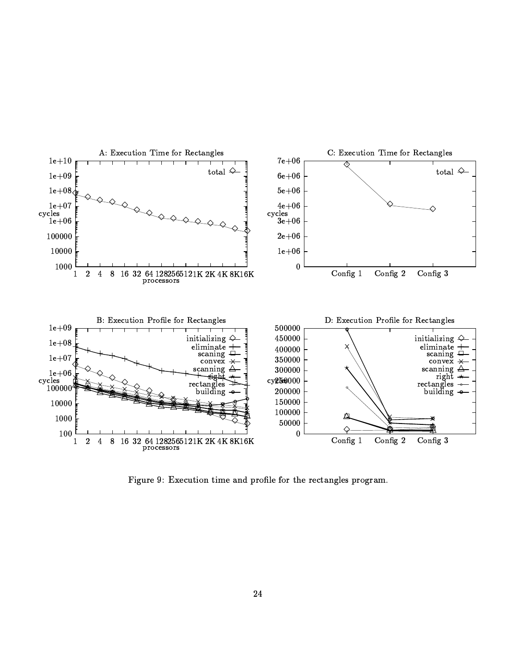

6"7:97 Q9 \$ : 9%M707:;>=07K95BC=D Qf;@9i;kQ 0OH9Q9%M20fBP=
98@9 Qf;N9>Q BCK2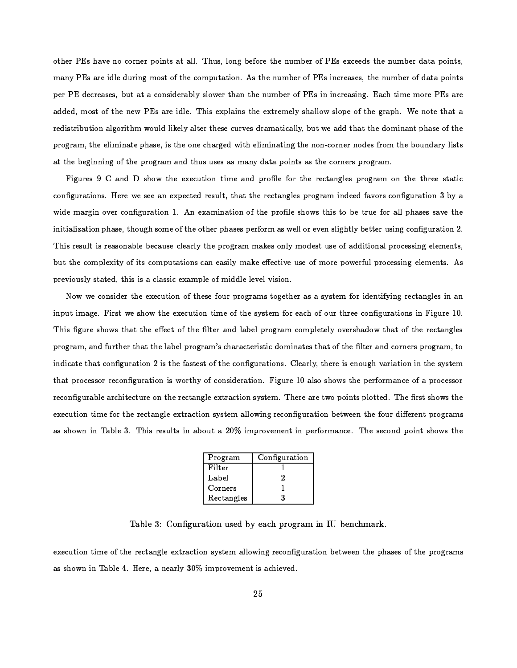other PEs have no corner points at all. Thus, long before the number of PEs exceeds the number data points, many PEs are idle during most of the computation. As the number of PEs increases, the number of data points per PE decreases, but at a considerably slower than the number of PEs in increasing. Each time more PEs are added, most of the new PEs are idle. This explains the extremely shallow slope of the graph. We note that a redistribution algorithm would likely alter these curves dramatically, but we add that the dominant phase of the program, the eliminate phase, is the one charged with eliminating the non-corner nodes from the boundary lists at the beginning of the program and thus uses as many data points as the corners program.

Figures 9 C and D show the execution time and profile for the rectangles program on the three static configurations. Here we see an expected result, that the rectangles program indeed favors configuration 3 by a wide margin over configuration 1. An examination of the profile shows this to be true for all phases save the initialization phase, though some of the other phases perform as well or even slightly better using configuration 2. This result is reasonable because clearly the program makes only modest use of additional processing elements, but the complexity of its computations can easily make effective use of more powerful processing elements. As previously stated, this is a classic example of middle level vision.

Now we consider the execution of these four programs together as a system for identifying rectangles in an input image. First we show the execution time of the system for each of our three configurations in Figure 10. This figure shows that the effect of the filter and label program completely overshadow that of the rectangles program, and further that the label program's characteristic dominates that of the filter and corners program, to indicate that configuration 2 is the fastest of the configurations. Clearly, there is enough variation in the system that processor reconfiguration is worthy of consideration. Figure 10 also shows the performance of a processor reconfigurable architecture on the rectangle extraction system. There are two points plotted. The first shows the execution time for the rectangle extraction system allowing reconfiguration between the four different programs as shown in Table 3. This results in about a 20% improvement in performance. The second point shows the

| Program    | Configuration |
|------------|---------------|
| Filter     |               |
| Label      | 2             |
| Corners    |               |
| Rectangles | પ             |

Table 3: Configuration used by each program in IU benchmark.

execution time of the rectangle extraction system allowing reconfiguration between the phases of the programs as shown in Table 4. Here, a nearly 30% improvement is achieved.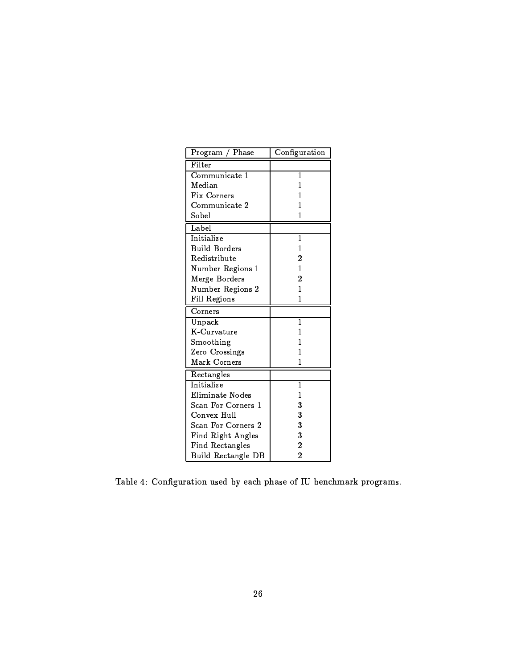| Phase<br>Program     | Configuration  |
|----------------------|----------------|
| Filter               |                |
| Communicate 1        | 1              |
| Median               | 1              |
| Fix Corners          | 1              |
| Communicate 2        | 1              |
| Sobel                | 1              |
| Label                |                |
| Initialize           | $\mathbf{1}$   |
| <b>Build Borders</b> | 1              |
| Redistribute         | $\overline{2}$ |
| Number Regions 1     | $\overline{1}$ |
| Merge Borders        | 2              |
| Number Regions 2     | 1              |
| Fill Regions         | 1              |
| Corners              |                |
| Unpack               | $\overline{1}$ |
| K-Curvature          | 1              |
| Smoothing            | 1              |
| Zero Crossings       | 1              |
| Mark Corners         | 1              |
| Rectangles           |                |
| Initialize           | $\mathbf{1}$   |
| Eliminate Nodes      | 1              |
| Scan For Corners 1   | 3              |
| Convex Hull          | 3              |
| Scan For Corners 2   | 3              |
| Find Right Angles    | 3              |
| Find Rectangles      | $\overline{2}$ |
| Build Rectangle DB   | $\overline{2}$ |

Table 4: Configuration used by each phase of IU benchmark programs.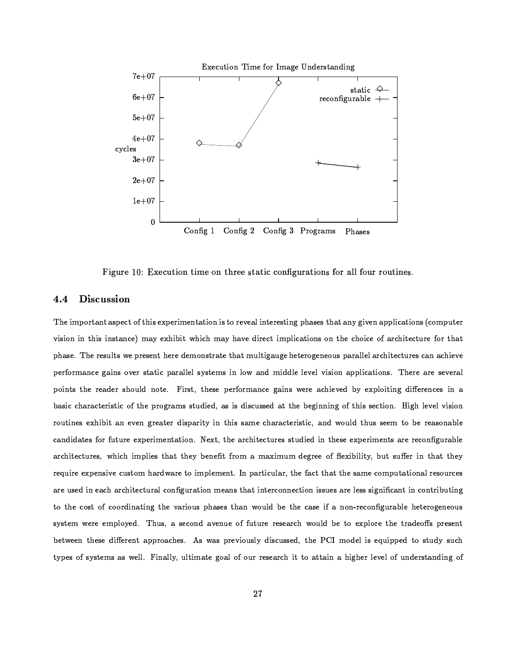

Figure 10: Execution time on three static configurations for all four routines.

#### 4.4 **Discussion**

The important aspect of this experimentation is to reveal interesting phases that any given applications (computer vision in this instance) may exhibit which may have direct implications on the choice of architecture for that phase. The results we present here demonstrate that multigauge heterogeneous parallel architectures can achieve performance gains over static parallel systems in low and middle level vision applications. There are several points the reader should note. First, these performance gains were achieved by exploiting differences in a basic characteristic of the programs studied, as is discussed at the beginning of this section. High level vision routines exhibit an even greater disparity in this same characteristic, and would thus seem to be reasonable candidates for future experimentation. Next, the architectures studied in these experiments are reconfigurable architectures, which implies that they benefit from a maximum degree of flexibility, but suffer in that they require expensive custom hardware to implement. In particular, the fact that the same computational resources are used in each architectural configuration means that interconnection issues are less significant in contributing to the cost of coordinating the various phases than would be the case if a non-reconfigurable heterogeneous system were employed. Thus, a second avenue of future research would be to explore the tradeoffs present between these different approaches. As was previously discussed, the PCI model is equipped to study such types of systems as well. Finally, ultimate goal of our research it to attain a higher level of understanding of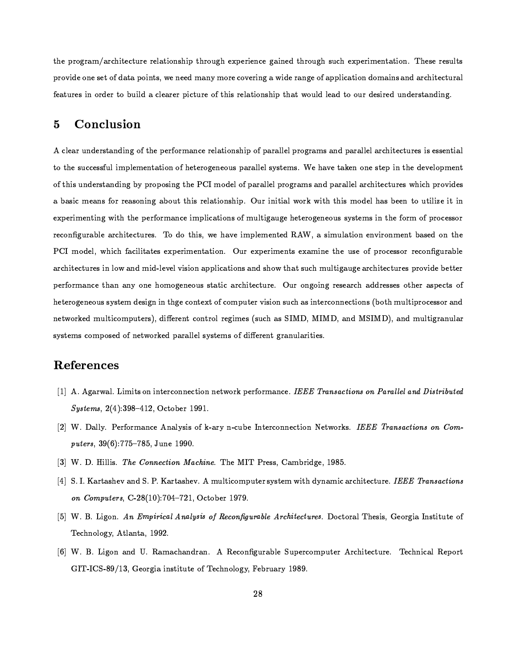$T$ urvervallent is the function of the contract burns in the contract of the contract background in the contract of the contract of the contract of the contract of the contract of the contract of the contract of the contra  $\blacksquare$  $\blacksquare$  . The function of the following the function of the condition of the condition of the condition of the condition of the condition of the condition of the condition of the condition of the condition of the condition

## -)  -

 $\blacksquare$  ) the following the function of the function  $\blacksquare$  . The function of the function of the function of the function of the function of the function of the function of the function of the function of the function of to the successful implementation of heterogeneous parallel systems. We have taken one step in the development  $\blacksquare$  . The following the following the function of the following the following the following the following the following the following the following the following the following the following the following the following f4p<f.]Uac^\_oR)fZ[] iX.VjVURWfZ]UX.[<ac[<YdfZpXZ\<TTUg<ac]VURW}ef.TUacXZ[]Ug<ac` \<Vac[<acTUacfZ}D|2X.VU{d| acTUgtTbg<ac]\_4Xs<R)}Dg<fZ]pR)R)[lTUXo\<TUac}cac)RacTac[  $\Gamma$  and the function of the function of the function of the function of the function of the function of the function of the function of the function of the function of the function of the function of the function of the  $\blacksquare$  $\blacksquare$ eor is a lui corrected and the corrected and the corrected and the corrected and the corrected and the corrected and the corrected and the corrected and the corrected and the corrected and the corrected and the corre fZVU^Hg<acTbR)^)TU\VUR)]ac[}cX@|lfZ[s\_oaes'¼}cR)k.R)}Zkac]UacXZ[,fZ`<`<}cac^)f.TUacXZ[<]DfZ[<s ]UgX@|~TUgfZT]U\<^HgF\_F\<}cTbaeY.fZ\<Y.REf.VU^Hg<acTUR)^WTU\<VbR)] `<VUX@kacs<RpBRWTUTURWV performance than any one homogeneous static architecture. Our ongoing research addresses other aspects of heterogeneous system design in thge context of computer vision such as interconnections (both multiprocessor and networked multicomputers), different control regimes (such as SIMD, MIMD, and MSIMD), and multigranular  $\blacksquare$  . the third  $\blacksquare$  . The total probability of the  $\blacksquare$ 

## -)\*

- ! ,@jYZf.VU|fZ}n \$ae\_oacTU]XZ[ac[TUR)Vb^)XZ[[<R)^)TbaeX.[[R)Tm|2X.VU{`R)ViXZVb\_4fZ[^)R@ 0  I   $(1 \quad 0 \quad 1)$   $(1)$   $(0 \quad 0 \quad 1)$   $(0 \quad 1)$   $(0 \quad 0 \quad 1)$
- $\left[ \begin{matrix} \alpha & \beta & \gamma & \alpha \end{matrix} \right]$ u achd ann an comhair ann an comhair an comhair an comhair an comhair an comhair an comhair an comhair an comhair an comhair an comhair an comhair an comhair an comhair an comhair an comhair a puters, 39(6):775–785. June 1990.
- [3] W.D. Hillis. *The Connection Machine*. The MIT Press. Cambridge. 1985.
- $U$  (dividently by  $U$  and  $U$  is the contractual  $U$  of  $U$  and  $U$  and  $U$  and  $U$ on Computers, C-28(10):704-721, October 1979.
- $5$  W. B. Ligon. *An Empirical Analysis of Reconfigurable Architectures*. Doctoral Thesis, Georgia Institute of  $-$  Tube is a set of the contract of  $\mathcal{X}$
- $\begin{array}{lllllllllllllllllllllllllllll} \text{and} & \text{and} & \text{and} & \text{and} & \text{and} & \text{and} & \text{and} & \text{and} & \text{and} & \text{and} & \text{and} & \text{and} & \text{and} & \text{and} & \text{and} & \text{and} & \text{and} & \text{and} & \text{and} & \text{and} & \text{and} & \text{and} & \text{and} & \text{and} & \text{and} & \text{and} & \text{and} & \text{and} & \text{and} & \text{and} & \text{and} & \text{and} & \text{and} & \$ 5C¼U'+. # .H - 5RWXZVUY.acfac[<]bTUacTU\<TbRX@i&R)^Hg<[<XZ}cX.YZq. #R)p<Vb\<fZVbq # '